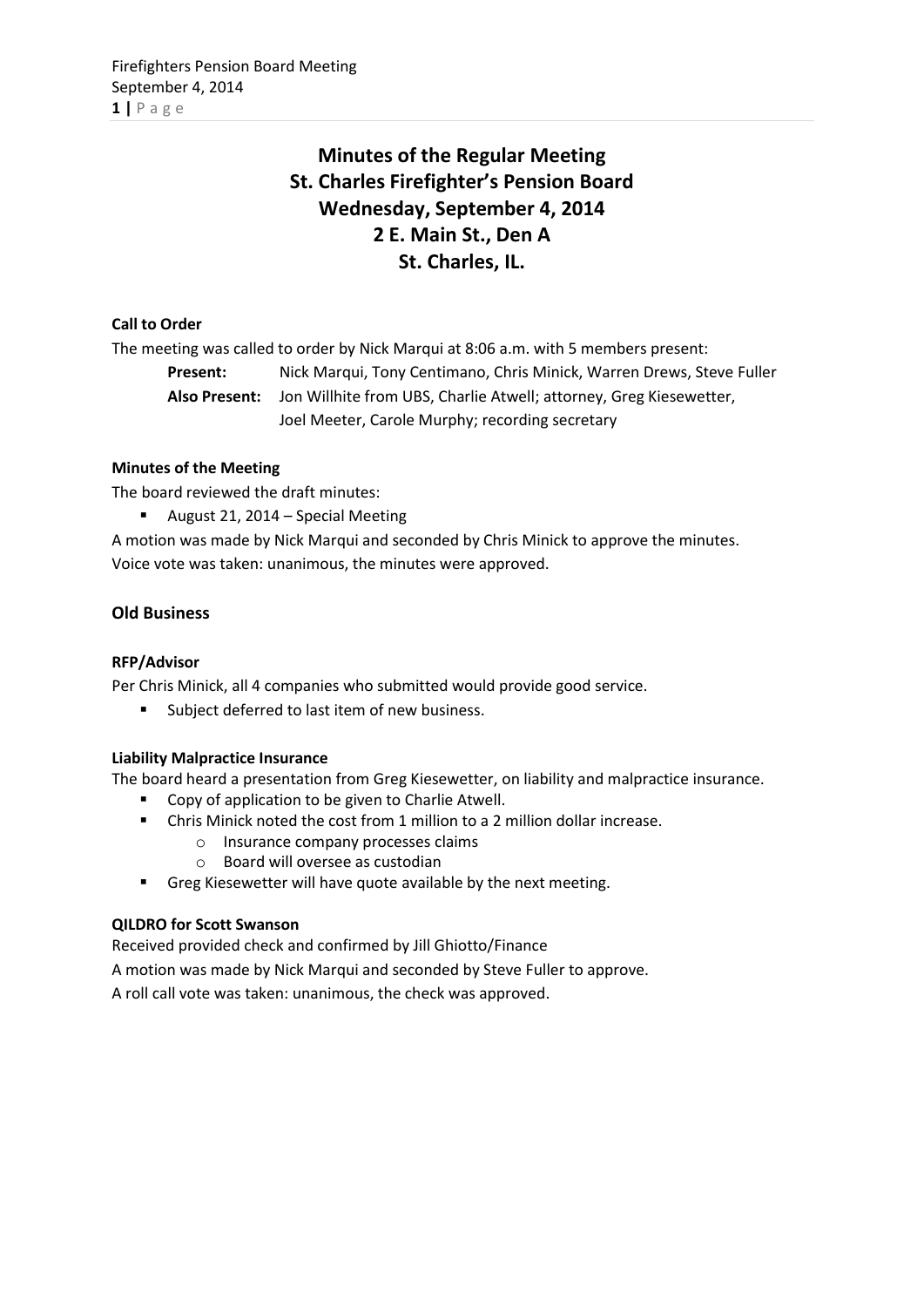# **Minutes of the Regular Meeting St. Charles Firefighter's Pension Board Wednesday, September 4, 2014 2 E. Main St., Den A St. Charles, IL.**

# **Call to Order**

The meeting was called to order by Nick Marqui at 8:06 a.m. with 5 members present:

**Present:** Nick Marqui, Tony Centimano, Chris Minick, Warren Drews, Steve Fuller **Also Present:** Jon Willhite from UBS, Charlie Atwell; attorney, Greg Kiesewetter, Joel Meeter, Carole Murphy; recording secretary

# **Minutes of the Meeting**

The board reviewed the draft minutes:

August 21, 2014 – Special Meeting

A motion was made by Nick Marqui and seconded by Chris Minick to approve the minutes. Voice vote was taken: unanimous, the minutes were approved.

# **Old Business**

# **RFP/Advisor**

Per Chris Minick, all 4 companies who submitted would provide good service.

Subject deferred to last item of new business.

# **Liability Malpractice Insurance**

The board heard a presentation from Greg Kiesewetter, on liability and malpractice insurance.

- Copy of application to be given to Charlie Atwell.
- Chris Minick noted the cost from 1 million to a 2 million dollar increase.
	- o Insurance company processes claims
	- o Board will oversee as custodian
- Greg Kiesewetter will have quote available by the next meeting.

# **QILDRO for Scott Swanson**

Received provided check and confirmed by Jill Ghiotto/Finance

A motion was made by Nick Marqui and seconded by Steve Fuller to approve.

A roll call vote was taken: unanimous, the check was approved.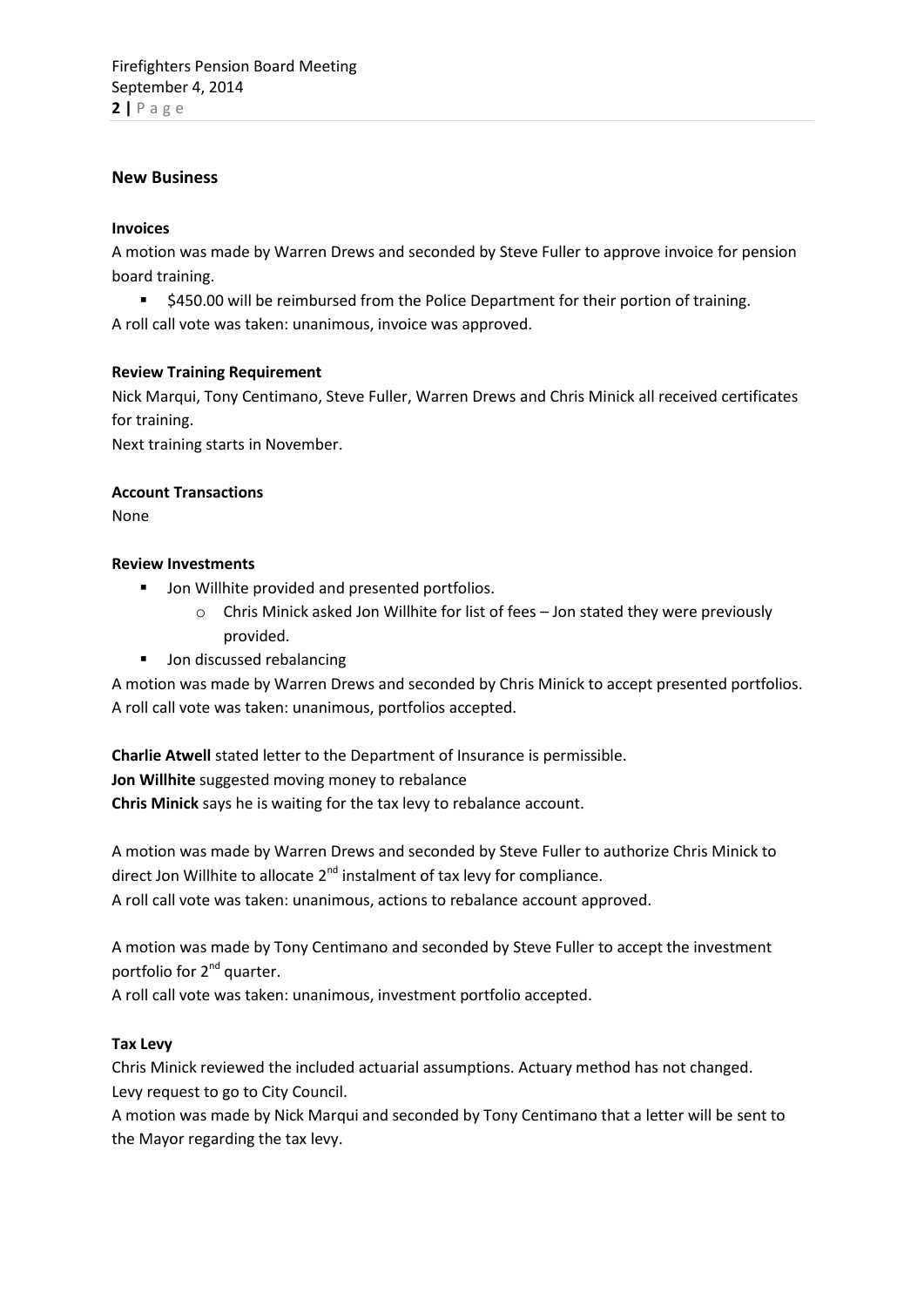## **New Business**

### **Invoices**

A motion was made by Warren Drews and seconded by Steve Fuller to approve invoice for pension board training.

 \$450.00 will be reimbursed from the Police Department for their portion of training. A roll call vote was taken: unanimous, invoice was approved.

#### **Review Training Requirement**

Nick Marqui, Tony Centimano, Steve Fuller, Warren Drews and Chris Minick all received certificates for training.

Next training starts in November.

#### **Account Transactions**

None

#### **Review Investments**

- **Jon Willhite provided and presented portfolios.** 
	- o Chris Minick asked Jon Willhite for list of fees Jon stated they were previously provided.
- **Jon discussed rebalancing**

A motion was made by Warren Drews and seconded by Chris Minick to accept presented portfolios. A roll call vote was taken: unanimous, portfolios accepted.

**Charlie Atwell** stated letter to the Department of Insurance is permissible. **Jon Willhite** suggested moving money to rebalance **Chris Minick** says he is waiting for the tax levy to rebalance account.

A motion was made by Warren Drews and seconded by Steve Fuller to authorize Chris Minick to direct Jon Willhite to allocate 2<sup>nd</sup> instalment of tax levy for compliance. A roll call vote was taken: unanimous, actions to rebalance account approved.

A motion was made by Tony Centimano and seconded by Steve Fuller to accept the investment portfolio for 2<sup>nd</sup> quarter.

A roll call vote was taken: unanimous, investment portfolio accepted.

### **Tax Levy**

Chris Minick reviewed the included actuarial assumptions. Actuary method has not changed. Levy request to go to City Council.

A motion was made by Nick Marqui and seconded by Tony Centimano that a letter will be sent to the Mayor regarding the tax levy.